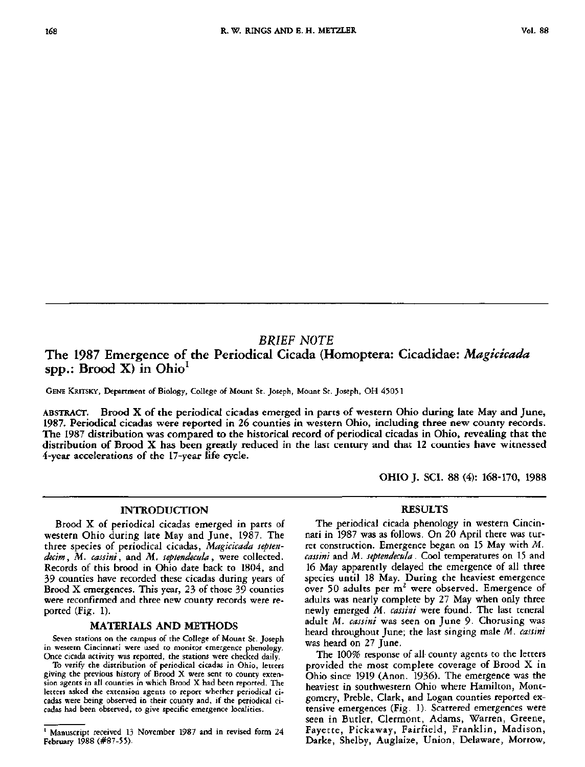# *BRIEF NOTE* The 1987 Emergence of the Periodical Cicada (Homoptera: Cicadidae: *Magicicada* spp.: Brood  $X$ ) in Ohio<sup>1</sup>

GENE KRITSKY, Department of Biology, College of Mount St. Joseph, Mount St. Joseph, OH 45051

ABSTRACT. Brood X of the periodical cicadas emerged in parts of western Ohio during late May and June, 1987. Periodical cicadas were reported in 26 counties in western Ohio, including three new county records. The 1987 distribution was compared to the historical record of periodical cicadas in Ohio, revealing that the distribution of Brood X has been greatly reduced in the last century and that 12 counties have witnessed 4-year accelerations of the 17-year life cycle.

**OHIO J. SCI.** 88 (4): 168-170, 1988

## **INTRODUCTION**

Brood X of periodical cicadas emerged in parts of western Ohio during late May and June, 1987. The three species of periodical cicadas, *Magicicada septendecim, M. cassini*, and *M. septendecula,* were collected. Records of this brood in Ohio date back to 1804, and 39 counties have recorded these cicadas during years of Brood X emergences. This year, 23 of those 39 counties were reconfirmed and three new county records were reported (Fig. 1).

## **MATERIALS AND METHODS**

Seven stations on the campus of the College of Mount St. Joseph in western Cincinnati were used to monitor emergence phenology. Once cicada activity was reported, the stations were checked daily.

To verify the distribution of periodical cicadas in Ohio, letters giving the previous history of Brood X were sent to county extension agents in all counties in which Brood X had been reported. The letters asked the extension agents to report whether periodical cicadas were being observed in their county and, if the periodical cicadas had been observed, to give specific emergence localities.

#### **RESULTS**

The periodical cicada phenology in western Cincinnati in 1987 was as follows. On 20 April there was turret construction. Emergence began on 15 May with *M. cassini* and *M. septendecula.* Cool temperatures on 15 and 16 May apparently delayed the emergence of all three species until 18 May. During the heaviest emergence over 50 adults per m<sup>2</sup> were observed. Emergence of adults was nearly complete by 27 May when only three newly emerged *M. cassini* were found. The last teneral adult *M. cassini* was seen on June 9. Chorusing was heard throughout June; the last singing male *M. cassini* was heard on 27 June.

The 100% response of all county agents to the letters provided the most complete coverage of Brood X in Ohio since 1919 (Anon. 1936). The emergence was the heaviest in southwestern Ohio where Hamilton, Montgomery, Preble, Clark, and Logan counties reported extensive emergences (Fig. 1). Scattered emergences were seen in Butler, Clermont, Adams, Warren, Greene, Fayette, Pickaway, Fairfield, Franklin, Madison, Darke, Shelby, Auglaize, Union, Delaware, Morrow,

<sup>1</sup> Manuscript received 13 November 1987 and in revised form 24 February 1988 (#87-55).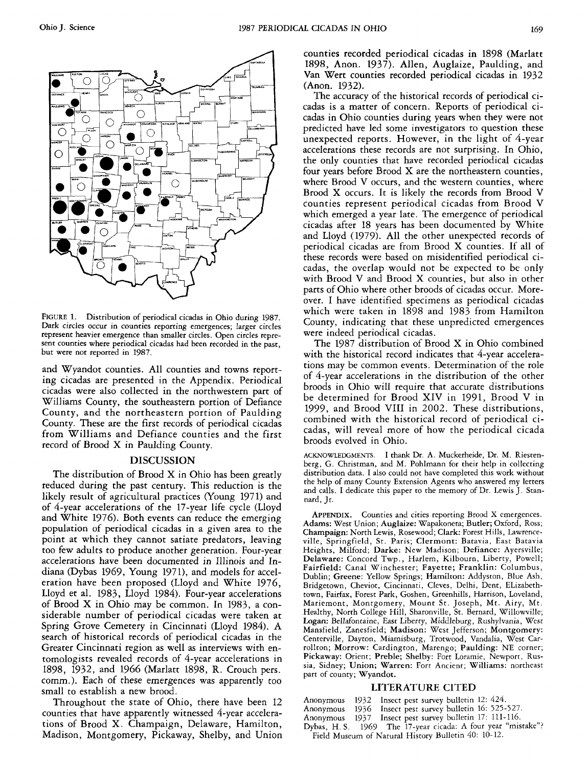

FIGURE 1. Distribution of periodical cicadas in Ohio during 1987. Dark circles occur in counties reporting emergences; larger circles represent heavier emergence than smaller circles. Open circles represent counties where periodical cicadas had been recorded in the past, but were not reported in 1987.

and Wyandot counties. All counties and towns reporting cicadas are presented in the Appendix. Periodical cicadas were also collected in the northwestern part of Williams County, the southeastern portion of Defiance County, and the northeastern portion of Paulding County. These are the first records of periodical cicadas from Williams and Defiance counties and the first record of Brood X in Paulding County.

# DISCUSSION

The distribution of Brood X in Ohio has been greatly reduced during the past century. This reduction is the likely result of agricultural practices (Young 1971) and of 4-year accelerations of the 17-year life cycle (Lloyd and White 1976). Both events can reduce the emerging population of periodical cicadas in a given area to the point at which they cannot satiate predators, leaving too few adults to produce another generation. Four-year accelerations have been documented in Illinois and Indiana (Dybas 1969, Young 1971), and models for acceleration have been proposed (Lloyd and White 1976, Lloyd et al. 1983, Lloyd 1984). Four-year accelerations of Brood X in Ohio may be common. In 1983, a considerable number of periodical cicadas were taken at Spring Grove Cemetery in Cincinnati (Lloyd 1984). A search of historical records of periodical cicadas in the Greater Cincinnati region as well as interviews with entomologists revealed records of 4-year accelerations in 1898, 1932, and 1966 (Marlatt 1898, R. Crouch pers. comm.). Each of these emergences was apparently too small to establish a new brood.

Throughout the state of Ohio, there have been 12 counties that have apparently witnessed 4-year accelerations of Brood X. Champaign, Delaware, Hamilton, Madison, Montgomery, Pickaway, Shelby, and Union counties recorded periodical cicadas in 1898 (Marlatt 1898, Anon. 1937). Allen, Auglaize, Paulding, and Van Wert counties recorded periodical cicadas in 1932 (Anon. 1932).

The accuracy of the historical records of periodical cicadas is a matter of concern. Reports of periodical cicadas in Ohio counties during years when they were not predicted have led some investigators to question these unexpected reports. However, in the light of 4-year accelerations these records are not surprising. In Ohio, the only counties that have recorded periodical cicadas four years before Brood X are the northeastern counties, where Brood V occurs, and the western counties, where Brood X occurs. It is likely the records from Brood V counties represent periodical cicadas from Brood V which emerged a year late. The emergence of periodical cicadas after 18 years has been documented by White and Lloyd (1979). All the other unexpected records of periodical cicadas are from Brood X counties. If all of these records were based on misidentified periodical cicadas, the overlap would not be expected to be only with Brood V and Brood X counties, but also in other parts of Ohio where other broods of cicadas occur. Moreover. I have identified specimens as periodical cicadas which were taken in 1898 and 1983 from Hamilton County, indicating that these unpredicted emergences were indeed periodical cicadas.

The 1987 distribution of Brood X in Ohio combined with the historical record indicates that 4-year accelerations may be common events. Determination of the role of 4-year accelerations in the distribution of the other broods in Ohio will require that accurate distributions be determined for Brood XIV in 1991, Brood V in 1999, and Brood VIII in 2002. These distributions, combined with the historical record of periodical cicadas, will reveal more of how the periodical cicada broods evolved in Ohio.

ACKNOWLEDGMENTS. I thank Dr. A. Muckerheide, Dr. M. Riestenberg, G. Christman, and M. Pohlmann for their help in collecting distribution data. I also could not have completed this work without the help of many County Extension Agents who answered my letters and calls. I dedicate this paper to the memory of Dr. Lewis J. Stannard, Jr.

APPENDIX. Counties and cities reporting Brood X emergences. Adams: West Union; Auglaize: Wapakoneta; Butler; Oxford, Ross; Champaign: North Lewis, Rosewood; Clark: Forest Hills, Lawrenceville, Springfield, St. Paris; Clermont: Batavia, East Batavia Heights, Milford; Darke: New Madison; Defiance: Ayersville; Delaware: Concord Twp., Harlem, Kilbourn, Liberty, Powell; Fairfield: Canal Winchester; Fayette; Franklin: Columbus, Dublin; Greene: Yellow Springs; Hamilton: Addyston, Blue Ash, Bridgetown, Cheviot, Cincinnati, Cleves, Delhi, Dent, ELizabethtown, Fairfax, Forest Park, Goshen, Greenhills, Harrison, Loveland, Mariemont, Montgomery, Mount St. Joseph, Mt. Airy, Mt. Healthy, North College Hill, Sharonville, St. Bernard, Willowville; Logan: Bellafontaine, East Liberty, Middleburg, Rushylvania, West Mansfield, Zanesfield; Madison: West Jefferson; Montgomery: Centerville, Dayton, Miamisburg, Trotwood, Vandalia, West Carrollton; Morrow: Cardington, Marengo; Paulding: NE corner; Pickaway: Orient; Preble; Shelby: Fort Loramie, Newport, Russia, Sidney; Union; Warren: Fort Ancient; Williams: northeast part of county; Wyandot.

## LITERATURE CITED

- Anonymous 1932 Insect pest survey bulletin 12: 424.
- Anonymous 1936 Insect pest survey bulletin 16: 525-527.
- Anonymous 1937 Insect pest survey bulletin 17: 111-116.
- Dybas, H. S. 1969 The 17-year cicada: A four year "mistake"?
	- Field Museum of Natural History Bulletin 40: 10-12.